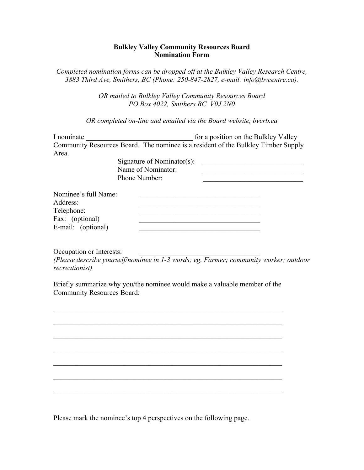## **Bulkley Valley Community Resources Board Nomination Form**

*Completed nomination forms can be dropped off at the Bulkley Valley Research Centre, 3883 Third Ave, Smithers, BC (Phone: 250-847-2827, e-mail: info@bvcentre.ca).*

> *OR mailed to Bulkley Valley Community Resources Board PO Box 4022, Smithers BC V0J 2N0*

*OR completed on-line and emailed via the Board website, bvcrb.ca*

| I nominate           |                            | for a position on the Bulkley Valley                                              |
|----------------------|----------------------------|-----------------------------------------------------------------------------------|
|                      |                            | Community Resources Board. The nominee is a resident of the Bulkley Timber Supply |
| Area.                |                            |                                                                                   |
|                      | Signature of Nominator(s): |                                                                                   |
|                      | Name of Nominator:         |                                                                                   |
|                      | Phone Number:              |                                                                                   |
| Nominee's full Name: |                            |                                                                                   |
| Address:             |                            |                                                                                   |
| Telephone:           |                            |                                                                                   |
| Fax: (optional)      |                            |                                                                                   |
| E-mail: (optional)   |                            |                                                                                   |

Occupation or Interests:

*(Please describe yourself/nominee in 1-3 words; eg. Farmer; community worker; outdoor recreationist)*

Briefly summarize why you/the nominee would make a valuable member of the Community Resources Board:

 $\mathcal{L}_\text{max}$ 

 $\_$  , and the set of the set of the set of the set of the set of the set of the set of the set of the set of the set of the set of the set of the set of the set of the set of the set of the set of the set of the set of th

Please mark the nominee's top 4 perspectives on the following page.